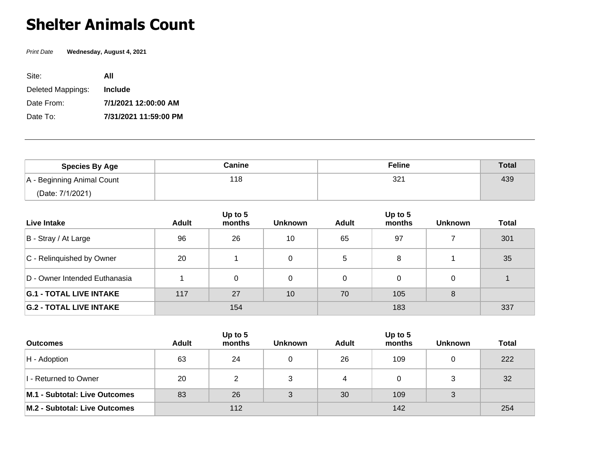## **Shelter Animals Count**

Print Date **Wednesday, August 4, 2021**

| Site:             | All                   |
|-------------------|-----------------------|
| Deleted Mappings: | <b>Include</b>        |
| Date From:        | 7/1/2021 12:00:00 AM  |
| Date To:          | 7/31/2021 11:59:00 PM |

| <b>Species By Age</b>      | Canine | <b>Feline</b>   | <b>Total</b> |
|----------------------------|--------|-----------------|--------------|
| A - Beginning Animal Count | 118    | 32 <sup>2</sup> | 439          |
| (Date: 7/1/2021)           |        |                 |              |

| Live Intake                    | <b>Adult</b> | Up to 5<br>months | <b>Unknown</b> | <b>Adult</b> | Up to 5<br>months | <b>Unknown</b> | <b>Total</b> |
|--------------------------------|--------------|-------------------|----------------|--------------|-------------------|----------------|--------------|
| B - Stray / At Large           | 96           | 26                | 10             | 65           | 97                |                | 301          |
| C - Relinquished by Owner      | 20           |                   | 0              | 5            | 8                 |                | 35           |
| D - Owner Intended Euthanasia  |              | 0                 | 0              | 0            | 0                 |                |              |
| <b>G.1 - TOTAL LIVE INTAKE</b> | 117          | 27                | 10             | 70           | 105               | 8              |              |
| <b>G.2 - TOTAL LIVE INTAKE</b> | 154          |                   |                | 183          |                   |                | 337          |

|                               |       | Up to 5 |                |              | Up to $5$ |                |              |
|-------------------------------|-------|---------|----------------|--------------|-----------|----------------|--------------|
| <b>Outcomes</b>               | Adult | months  | <b>Unknown</b> | <b>Adult</b> | months    | <b>Unknown</b> | <b>Total</b> |
| $H -$ Adoption                | 63    | 24      |                | 26           | 109       |                | 222          |
| 1 - Returned to Owner         | 20    | C.      | ົ              | 4            |           |                | 32           |
| M.1 - Subtotal: Live Outcomes | 83    | 26      | $\mathbf{r}$   | 30           | 109       |                |              |
| M.2 - Subtotal: Live Outcomes | 112   |         |                |              | 254       |                |              |